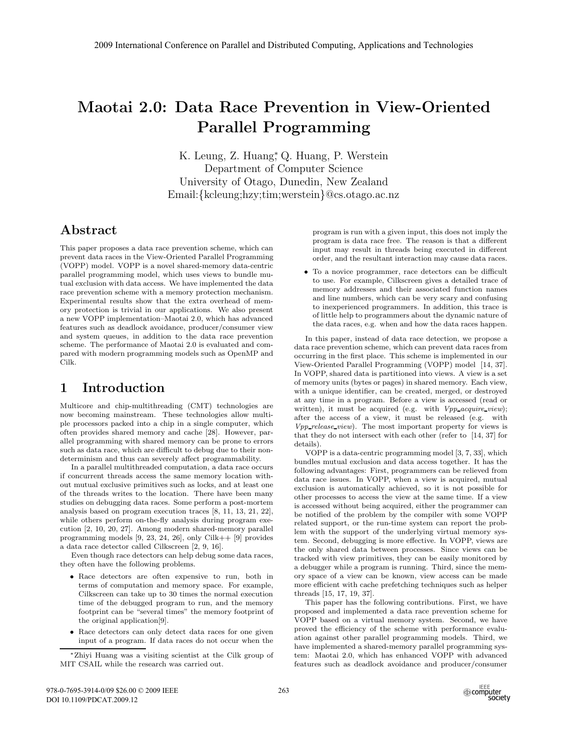# **Maotai 2.0: Data Race Prevention in View-Oriented Parallel Programming**

K. Leung, Z. Huang<sup>∗</sup> , Q. Huang, P. Werstein Department of Computer Science University of Otago, Dunedin, New Zealand Email:*{*kcleung;hzy;tim;werstein*}*@cs.otago.ac.nz

### **Abstract**

This paper proposes a data race prevention scheme, which can prevent data races in the View-Oriented Parallel Programming (VOPP) model. VOPP is a novel shared-memory data-centric parallel programming model, which uses views to bundle mutual exclusion with data access. We have implemented the data race prevention scheme with a memory protection mechanism. Experimental results show that the extra overhead of memory protection is trivial in our applications. We also present a new VOPP implementation–Maotai 2.0, which has advanced features such as deadlock avoidance, producer/consumer view and system queues, in addition to the data race prevention scheme. The performance of Maotai 2.0 is evaluated and compared with modern programming models such as OpenMP and Cilk.

## **1 Introduction**

Multicore and chip-multithreading (CMT) technologies are now becoming mainstream. These technologies allow multiple processors packed into a chip in a single computer, which often provides shared memory and cache [28]. However, parallel programming with shared memory can be prone to errors such as data race, which are difficult to debug due to their nondeterminism and thus can severely affect programmability.

In a parallel multithreaded computation, a data race occurs if concurrent threads access the same memory location without mutual exclusive primitives such as locks, and at least one of the threads writes to the location. There have been many studies on debugging data races. Some perform a post-mortem analysis based on program execution traces [8, 11, 13, 21, 22], while others perform on-the-fly analysis during program execution [2, 10, 20, 27]. Among modern shared-memory parallel programming models  $[9, 23, 24, 26]$ , only Cilk $++$   $[9]$  provides a data race detector called Cilkscreen [2, 9, 16].

Even though race detectors can help debug some data races, they often have the following problems.

- Race detectors are often expensive to run, both in terms of computation and memory space. For example, Cilkscreen can take up to 30 times the normal execution time of the debugged program to run, and the memory footprint can be "several times" the memory footprint of the original application[9].
- Race detectors can only detect data races for one given input of a program. If data races do not occur when the

∗Zhiyi Huang was a visiting scientist at the Cilk group of MIT CSAIL while the research was carried out.

program is run with a given input, this does not imply the program is data race free. The reason is that a different input may result in threads being executed in different order, and the resultant interaction may cause data races.

• To a novice programmer, race detectors can be difficult to use. For example, Cilkscreen gives a detailed trace of memory addresses and their associated function names and line numbers, which can be very scary and confusing to inexperienced programmers. In addition, this trace is of little help to programmers about the dynamic nature of the data races, e.g. when and how the data races happen.

In this paper, instead of data race detection, we propose a data race prevention scheme, which can prevent data races from occurring in the first place. This scheme is implemented in our View-Oriented Parallel Programming (VOPP) model [14, 37]. In VOPP, shared data is partitioned into views. A view is a set of memory units (bytes or pages) in shared memory. Each view, with a unique identifier, can be created, merged, or destroyed at any time in a program. Before a view is accessed (read or written), it must be acquired (e.g. with  $Vpp\_acquire\_view$ ); after the access of a view, it must be released (e.g. with *Vpp release view*). The most important property for views is that they do not intersect with each other (refer to [14, 37] for details).

VOPP is a data-centric programming model [3, 7, 33], which bundles mutual exclusion and data access together. It has the following advantages: First, programmers can be relieved from data race issues. In VOPP, when a view is acquired, mutual exclusion is automatically achieved, so it is not possible for other processes to access the view at the same time. If a view is accessed without being acquired, either the programmer can be notified of the problem by the compiler with some VOPP related support, or the run-time system can report the problem with the support of the underlying virtual memory system. Second, debugging is more effective. In VOPP, views are the only shared data between processes. Since views can be tracked with view primitives, they can be easily monitored by a debugger while a program is running. Third, since the memory space of a view can be known, view access can be made more efficient with cache prefetching techniques such as helper threads [15, 17, 19, 37].

This paper has the following contributions. First, we have proposed and implemented a data race prevention scheme for VOPP based on a virtual memory system. Second, we have proved the efficiency of the scheme with performance evaluation against other parallel programming models. Third, we have implemented a shared-memory parallel programming system: Maotai 2.0, which has enhanced VOPP with advanced features such as deadlock avoidance and producer/consumer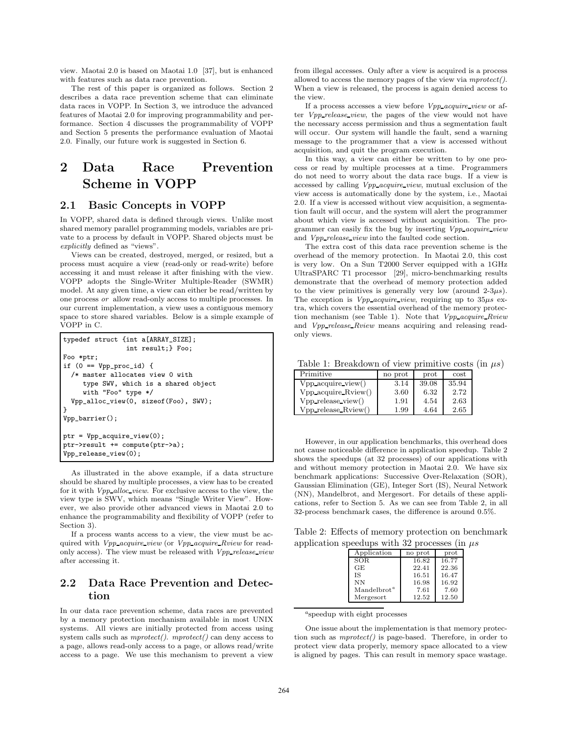view. Maotai 2.0 is based on Maotai 1.0 [37], but is enhanced with features such as data race prevention.

The rest of this paper is organized as follows. Section 2 describes a data race prevention scheme that can eliminate data races in VOPP. In Section 3, we introduce the advanced features of Maotai 2.0 for improving programmability and performance. Section 4 discusses the programmability of VOPP and Section 5 presents the performance evaluation of Maotai 2.0. Finally, our future work is suggested in Section 6.

# **2 Data Race Prevention Scheme in VOPP**

#### **2.1 Basic Concepts in VOPP**

In VOPP, shared data is defined through views. Unlike most shared memory parallel programming models, variables are private to a process by default in VOPP. Shared objects must be *explicitly* defined as "views".

Views can be created, destroyed, merged, or resized, but a process must acquire a view (read-only or read-write) before accessing it and must release it after finishing with the view. VOPP adopts the Single-Writer Multiple-Reader (SWMR) model. At any given time, a view can either be read/written by one process *or* allow read-only access to multiple processes. In our current implementation, a view uses a contiguous memory space to store shared variables. Below is a simple example of VOPP in C.

```
typedef struct {int a[ARRAY_SIZE];
                int result;} Foo;
Foo *ptr;
if (0 == Vpp\_proc_id) {
  /* master allocates view 0 with
     type SWV, which is a shared object
     with "Foo" type */
  Vpp_alloc_view(0, sizeof(Foo), SWV);
}
Vpp_barrier();
ptr = Vpp_acquire_view(0);
ptr->result += compute(ptr->a);
Vpp_release_view(0);
```
As illustrated in the above example, if a data structure should be shared by multiple processes, a view has to be created for it with *Vpp alloc view*. For exclusive access to the view, the view type is SWV, which means "Single Writer View". However, we also provide other advanced views in Maotai 2.0 to enhance the programmability and flexibility of VOPP (refer to Section 3).

If a process wants access to a view, the view must be acquired with *Vpp acquire view* (or *Vpp acquire Rview* for readonly access). The view must be released with *Vpp release view* after accessing it.

#### **2.2 Data Race Prevention and Detection**

In our data race prevention scheme, data races are prevented by a memory protection mechanism available in most UNIX systems. All views are initially protected from access using system calls such as *mprotect()*. *mprotect()* can deny access to a page, allows read-only access to a page, or allows read/write access to a page. We use this mechanism to prevent a view

from illegal accesses. Only after a view is acquired is a process allowed to access the memory pages of the view via *mprotect()*. When a view is released, the process is again denied access to the view.

If a process accesses a view before *Vpp acquire view* or after *Vpp release view*, the pages of the view would not have the necessary access permission and thus a segmentation fault will occur. Our system will handle the fault, send a warning message to the programmer that a view is accessed without acquisition, and quit the program execution.

In this way, a view can either be written to by one process or read by multiple processes at a time. Programmers do not need to worry about the data race bugs. If a view is accessed by calling *Vpp acquire view*, mutual exclusion of the view access is automatically done by the system, i.e., Maotai 2.0. If a view is accessed without view acquisition, a segmentation fault will occur, and the system will alert the programmer about which view is accessed without acquisition. The programmer can easily fix the bug by inserting *Vpp acquire view* and *Vpp\_release\_view* into the faulted code section.

The extra cost of this data race prevention scheme is the overhead of the memory protection. In Maotai 2.0, this cost is very low. On a Sun T2000 Server equipped with a 1GHz UltraSPARC T1 processor [29], micro-benchmarking results demonstrate that the overhead of memory protection added to the view primitives is generally very low (around 2-3*µs*). The exception is *Vpp acquire view*, requiring up to 35*µs* extra, which covers the essential overhead of the memory protection mechanism (see Table 1). Note that *Vpp acquire Rview* and *Vpp release Rview* means acquiring and releasing readonly views.

Table 1: Breakdown of view primitive costs (in *µs*)

| Primitive               | no prot | prot  | cost  |
|-------------------------|---------|-------|-------|
| $Vpp$ acquire_view()    | 3.14    | 39.08 | 35.94 |
| $Vpp$ acquire $Rview()$ | 3.60    | 6.32  | 2.72  |
| $Vpp$ release_view()    | 1.91    | 4.54  | 2.63  |
| Vpp_release_Rview()     | 1.99    | 4.64  | 2.65  |

However, in our application benchmarks, this overhead does not cause noticeable difference in application speedup. Table 2 shows the speedups (at 32 processes) of our applications with and without memory protection in Maotai 2.0. We have six benchmark applications: Successive Over-Relaxation (SOR), Gaussian Elimination (GE), Integer Sort (IS), Neural Network (NN), Mandelbrot, and Mergesort. For details of these applications, refer to Section 5. As we can see from Table 2, in all 32-process benchmark cases, the difference is around 0.5%.

Table 2: Effects of memory protection on benchmark application speedups with 32 processes (in *µs*

| Application             | no prot | prot  |
|-------------------------|---------|-------|
| SOR.                    | 16.82   | 16.77 |
| GE                      | 22.41   | 22.36 |
| ΙS                      | 16.51   | 16.47 |
| NΝ                      | 16.98   | 16.92 |
| Mandelbrot <sup>a</sup> | 7.61    | 7.60  |
| Mergesort               | 12.52   | 12.50 |

*<sup>a</sup>*speedup with eight processes

One issue about the implementation is that memory protection such as *mprotect()* is page-based. Therefore, in order to protect view data properly, memory space allocated to a view is aligned by pages. This can result in memory space wastage.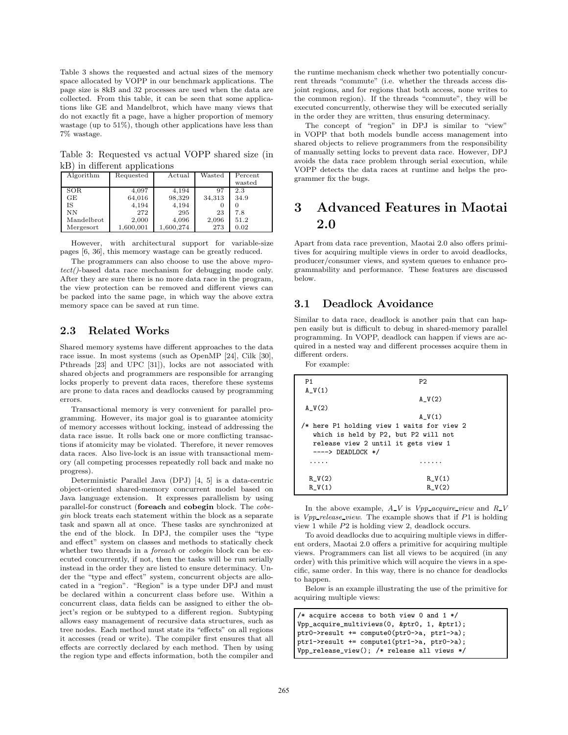Table 3 shows the requested and actual sizes of the memory space allocated by VOPP in our benchmark applications. The page size is 8kB and 32 processes are used when the data are collected. From this table, it can be seen that some applications like GE and Mandelbrot, which have many views that do not exactly fit a page, have a higher proportion of memory wastage (up to 51%), though other applications have less than 7% wastage.

Table 3: Requested vs actual VOPP shared size (in kB) in different applications

| Algorithm  | Requested | Actual    | Wasted | Percent |
|------------|-----------|-----------|--------|---------|
|            |           |           |        | wasted  |
| SOR.       | 4,097     | 4,194     | 97     | 2.3     |
| GE         | 64,016    | 98,329    | 34,313 | 34.9    |
| IS         | 4,194     | 4,194     |        |         |
| NΝ         | 272       | 295       | 23     | 7.8     |
| Mandelbrot | 2,000     | 4,096     | 2,096  | 51.2    |
| Mergesort  | 1,600,001 | 1,600,274 | 273    | 0.02    |

However, with architectural support for variable-size pages [6, 36], this memory wastage can be greatly reduced.

The programmers can also choose to use the above *mprotect()*-based data race mechanism for debugging mode only. After they are sure there is no more data race in the program, the view protection can be removed and different views can be packed into the same page, in which way the above extra memory space can be saved at run time.

#### **2.3 Related Works**

Shared memory systems have different approaches to the data race issue. In most systems (such as OpenMP [24], Cilk [30], Pthreads [23] and UPC [31]), locks are not associated with shared objects and programmers are responsible for arranging locks properly to prevent data races, therefore these systems are prone to data races and deadlocks caused by programming errors.

Transactional memory is very convenient for parallel programming. However, its major goal is to guarantee atomicity of memory accesses without locking, instead of addressing the data race issue. It rolls back one or more conflicting transactions if atomicity may be violated. Therefore, it never removes data races. Also live-lock is an issue with transactional memory (all competing processes repeatedly roll back and make no progress).

Deterministic Parallel Java (DPJ) [4, 5] is a data-centric object-oriented shared-memory concurrent model based on Java language extension. It expresses parallelism by using parallel-for construct (**foreach** and **cobegin** block. The *cobegin* block treats each statement within the block as a separate task and spawn all at once. These tasks are synchronized at the end of the block. In DPJ, the compiler uses the "type and effect" system on classes and methods to statically check whether two threads in a *foreach* or *cobegin* block can be executed concurrently, if not, then the tasks will be run serially instead in the order they are listed to ensure determinacy. Under the "type and effect" system, concurrent objects are allocated in a "region". "Region" is a type under DPJ and must be declared within a concurrent class before use. Within a concurrent class, data fields can be assigned to either the object's region or be subtyped to a different region. Subtyping allows easy management of recursive data structures, such as tree nodes. Each method must state its "effects" on all regions it accesses (read or write). The compiler first ensures that all effects are correctly declared by each method. Then by using the region type and effects information, both the compiler and

the runtime mechanism check whether two potentially concurrent threads "commute" (i.e. whether the threads access disjoint regions, and for regions that both access, none writes to the common region). If the threads "commute", they will be executed concurrently, otherwise they will be executed serially in the order they are written, thus ensuring determinacy.

The concept of "region" in DPJ is similar to "view" in VOPP that both models bundle access management into shared objects to relieve programmers from the responsibility of manually setting locks to prevent data race. However, DPJ avoids the data race problem through serial execution, while VOPP detects the data races at runtime and helps the programmer fix the bugs.

# **3 Advanced Features in Maotai 2.0**

Apart from data race prevention, Maotai 2.0 also offers primitives for acquiring multiple views in order to avoid deadlocks, producer/consumer views, and system queues to enhance programmability and performance. These features are discussed below.

#### **3.1 Deadlock Avoidance**

Similar to data race, deadlock is another pain that can happen easily but is difficult to debug in shared-memory parallel programming. In VOPP, deadlock can happen if views are acquired in a nested way and different processes acquire them in different orders.

For example:

| P1                                         | P <sub>2</sub> |
|--------------------------------------------|----------------|
| A V(1)                                     |                |
|                                            | A V(2)         |
| AV(2)                                      |                |
|                                            | A V(1)         |
| /* here P1 holding view 1 waits for view 2 |                |
| which is held by P2, but P2 will not       |                |
| release view 2 until it gets view 1        |                |
| $--->$ DEADLOCK */                         |                |
|                                            |                |
| $R_V(2)$                                   | $R_V(1)$       |
| R V(1)                                     | R V(2)         |
|                                            |                |

In the above example, *A V* is *Vpp acquire view* and *R V* is *Vpp release view*. The example shows that if *P*1 is holding view 1 while *P*2 is holding view 2, deadlock occurs.

To avoid deadlocks due to acquiring multiple views in different orders, Maotai 2.0 offers a primitive for acquiring multiple views. Programmers can list all views to be acquired (in any order) with this primitive which will acquire the views in a specific, same order. In this way, there is no chance for deadlocks to happen.

Below is an example illustrating the use of the primitive for acquiring multiple views:

```
/* acquire access to both view 0 and 1*/Vpp_acquire_multiviews(0, &ptr0, 1, &ptr1);
ptr0->result += compute0(ptr0->a, ptr1->a);
ptr1->result += compute1(ptr1->a, ptr0->a);
Vpp_release_view(); /* release all views */
```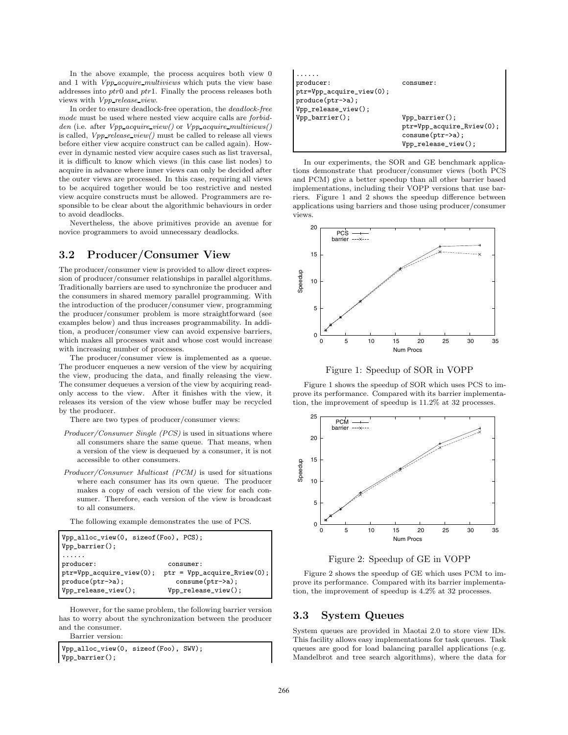In the above example, the process acquires both view 0 and 1 with *Vpp acquire multiviews* which puts the view base addresses into *ptr*0 and *ptr*1. Finally the process releases both views with *Vpp release view*.

In order to ensure deadlock-free operation, the *deadlock-free mode* must be used where nested view acquire calls are *forbidden* (i.e. after *Vpp acquire view()* or *Vpp acquire multiviews()* is called, *Vpp release view()* must be called to release all views before either view acquire construct can be called again). However in dynamic nested view acquire cases such as list traversal, it is difficult to know which views (in this case list nodes) to acquire in advance where inner views can only be decided after the outer views are processed. In this case, requiring all views to be acquired together would be too restrictive and nested view acquire constructs must be allowed. Programmers are responsible to be clear about the algorithmic behaviours in order to avoid deadlocks.

Nevertheless, the above primitives provide an avenue for novice programmers to avoid unnecessary deadlocks.

#### **3.2 Producer/Consumer View**

The producer/consumer view is provided to allow direct expression of producer/consumer relationships in parallel algorithms. Traditionally barriers are used to synchronize the producer and the consumers in shared memory parallel programming. With the introduction of the producer/consumer view, programming the producer/consumer problem is more straightforward (see examples below) and thus increases programmability. In addition, a producer/consumer view can avoid expensive barriers, which makes all processes wait and whose cost would increase with increasing number of processes.

The producer/consumer view is implemented as a queue. The producer enqueues a new version of the view by acquiring the view, producing the data, and finally releasing the view. The consumer dequeues a version of the view by acquiring readonly access to the view. After it finishes with the view, it releases its version of the view whose buffer may be recycled by the producer.

There are two types of producer/consumer views:

- *Producer/Consumer Single (PCS)* is used in situations where all consumers share the same queue. That means, when a version of the view is dequeued by a consumer, it is not accessible to other consumers.
- *Producer/Consumer Multicast (PCM)* is used for situations where each consumer has its own queue. The producer makes a copy of each version of the view for each consumer. Therefore, each version of the view is broadcast to all consumers.

The following example demonstrates the use of PCS.

| Vpp_alloc_view(0, sizeof(Foo), PCS);<br>Vpp_barrier(); |                               |  |  |  |
|--------------------------------------------------------|-------------------------------|--|--|--|
|                                                        |                               |  |  |  |
| producer:                                              | consumer:                     |  |  |  |
| ptr=Vpp_acquire_view(0);                               | $ptr = Vpp_acquire_Rview(0);$ |  |  |  |
| produce (ptr>a);                                       | cosume(ptr~>a);               |  |  |  |
| $Vpp_release\_view()$ ;<br>Vpp_release_view();         |                               |  |  |  |

However, for the same problem, the following barrier version has to worry about the synchronization between the producer and the consumer.

Barrier version:

```
Vpp_alloc_view(0, sizeof(Foo), SWV);
Vpp_barrier();
```

| producer:                | consumer:                 |
|--------------------------|---------------------------|
| ptr=Vpp_acquire_view(0); |                           |
| produce (ptr>a);         |                           |
| Vpp_release_view();      |                           |
| $Vpp_barrier()$ ;        | $Vpp\_barrier()$ ;        |
|                          | ptr=Vpp_acquire_Rview(0); |
|                          | cosume(ptr>a);            |
|                          | Vpp_release_view();       |

In our experiments, the SOR and GE benchmark applications demonstrate that producer/consumer views (both PCS and PCM) give a better speedup than all other barrier based implementations, including their VOPP versions that use barriers. Figure 1 and 2 shows the speedup difference between applications using barriers and those using producer/consumer views.



Figure 1: Speedup of SOR in VOPP

Figure 1 shows the speedup of SOR which uses PCS to improve its performance. Compared with its barrier implementation, the improvement of speedup is 11.2% at 32 processes.



Figure 2: Speedup of GE in VOPP

Figure 2 shows the speedup of GE which uses PCM to improve its performance. Compared with its barrier implementation, the improvement of speedup is 4.2% at 32 processes.

#### **3.3 System Queues**

System queues are provided in Maotai 2.0 to store view IDs. This facility allows easy implementations for task queues. Task queues are good for load balancing parallel applications (e.g. Mandelbrot and tree search algorithms), where the data for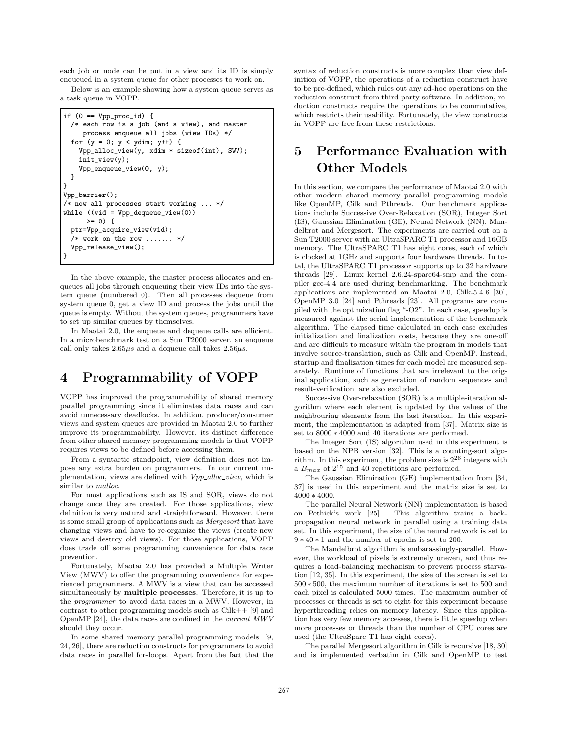each job or node can be put in a view and its ID is simply enqueued in a system queue for other processes to work on.

Below is an example showing how a system queue serves as a task queue in VOPP.

```
if (0 == Vpp\_proc_id) {
  /* each row is a job (and a view), and master
    process enqueue all jobs (view IDs) */
  for (y = 0; y < ydim; y++) {
    Vpp_alloc_view(y, xdim * sizeof(int), SWV);
    init_view(y);
    Vpp_enqueue_view(0, y);
 }
}
Vpp_barrier();
/* now all processes start working ... */
while ((vid = Vpp_dequeue_view(0))
      >= 0) {
 ptr=Vpp_acquire_view(vid);
  /* work on the row ....... */
  Vpp_release_view();
}
```
In the above example, the master process allocates and enqueues all jobs through enqueuing their view IDs into the system queue (numbered 0). Then all processes dequeue from system queue 0, get a view ID and process the jobs until the queue is empty. Without the system queues, programmers have to set up similar queues by themselves.

In Maotai 2.0, the enqueue and dequeue calls are efficient. In a microbenchmark test on a Sun T2000 server, an enqueue call only takes 2*.*65*µs* and a dequeue call takes 2*.*56*µs*.

### **4 Programmability of VOPP**

VOPP has improved the programmability of shared memory parallel programming since it eliminates data races and can avoid unnecessary deadlocks. In addition, producer/consumer views and system queues are provided in Maotai 2.0 to further improve its programmability. However, its distinct difference from other shared memory programming models is that VOPP requires views to be defined before accessing them.

From a syntactic standpoint, view definition does not impose any extra burden on programmers. In our current implementation, views are defined with *Vpp alloc view*, which is similar to *malloc*.

For most applications such as IS and SOR, views do not change once they are created. For those applications, view definition is very natural and straightforward. However, there is some small group of applications such as *Mergesort* that have changing views and have to re-organize the views (create new views and destroy old views). For those applications, VOPP does trade off some programming convenience for data race prevention.

Fortunately, Maotai 2.0 has provided a Multiple Writer View (MWV) to offer the programming convenience for experienced programmers. A MWV is a view that can be accessed simultaneously by **multiple processes**. Therefore, it is up to the *programmer* to avoid data races in a MWV. However, in contrast to other programming models such as  $Cilk++[9]$  and OpenMP [24], the data races are confined in the *current MWV* should they occur.

In some shared memory parallel programming models [9, 24, 26], there are reduction constructs for programmers to avoid data races in parallel for-loops. Apart from the fact that the syntax of reduction constructs is more complex than view definition of VOPP, the operations of a reduction construct have to be pre-defined, which rules out any ad-hoc operations on the reduction construct from third-party software. In addition, reduction constructs require the operations to be commutative, which restricts their usability. Fortunately, the view constructs in VOPP are free from these restrictions.

# **5 Performance Evaluation with Other Models**

In this section, we compare the performance of Maotai 2.0 with other modern shared memory parallel programming models like OpenMP, Cilk and Pthreads. Our benchmark applications include Successive Over-Relaxation (SOR), Integer Sort (IS), Gaussian Elimination (GE), Neural Network (NN), Mandelbrot and Mergesort. The experiments are carried out on a Sun T2000 server with an UltraSPARC T1 processor and 16GB memory. The UltraSPARC T1 has eight cores, each of which is clocked at 1GHz and supports four hardware threads. In total, the UltraSPARC T1 processor supports up to 32 hardware threads [29]. Linux kernel 2.6.24-sparc64-smp and the compiler gcc-4.4 are used during benchmarking. The benchmark applications are implemented on Maotai 2.0, Cilk-5.4.6 [30], OpenMP 3.0 [24] and Pthreads [23]. All programs are compiled with the optimization flag "-O2". In each case, speedup is measured against the serial implementation of the benchmark algorithm. The elapsed time calculated in each case excludes initialization and finalization costs, because they are one-off and are difficult to measure within the program in models that involve source-translation, such as Cilk and OpenMP. Instead, startup and finalization times for each model are measured separately. Runtime of functions that are irrelevant to the original application, such as generation of random sequences and result-verification, are also excluded.

Successive Over-relaxation (SOR) is a multiple-iteration algorithm where each element is updated by the values of the neighbouring elements from the last iteration. In this experiment, the implementation is adapted from [37]. Matrix size is set to 8000 ∗ 4000 and 40 iterations are performed.

The Integer Sort (IS) algorithm used in this experiment is based on the NPB version [32]. This is a counting-sort algorithm. In this experiment, the problem size is  $2^{26}$  integers with a  $B_{max}$  of  $2^{15}$  and 40 repetitions are performed.

The Gaussian Elimination (GE) implementation from [34, 37] is used in this experiment and the matrix size is set to 4000 ∗ 4000.

The parallel Neural Network (NN) implementation is based on Pethick's work [25]. This algorithm trains a backpropagation neural network in parallel using a training data set. In this experiment, the size of the neural network is set to 9 ∗ 40 ∗ 1 and the number of epochs is set to 200.

The Mandelbrot algorithm is embarassingly-parallel. However, the workload of pixels is extremely uneven, and thus requires a load-balancing mechanism to prevent process starvation [12, 35]. In this experiment, the size of the screen is set to 500 ∗ 500, the maximum number of iterations is set to 500 and each pixel is calculated 5000 times. The maximum number of processes or threads is set to eight for this experiment because hyperthreading relies on memory latency. Since this application has very few memory accesses, there is little speedup when more processes or threads than the number of CPU cores are used (the UltraSparc T1 has eight cores).

The parallel Mergesort algorithm in Cilk is recursive [18, 30] and is implemented verbatim in Cilk and OpenMP to test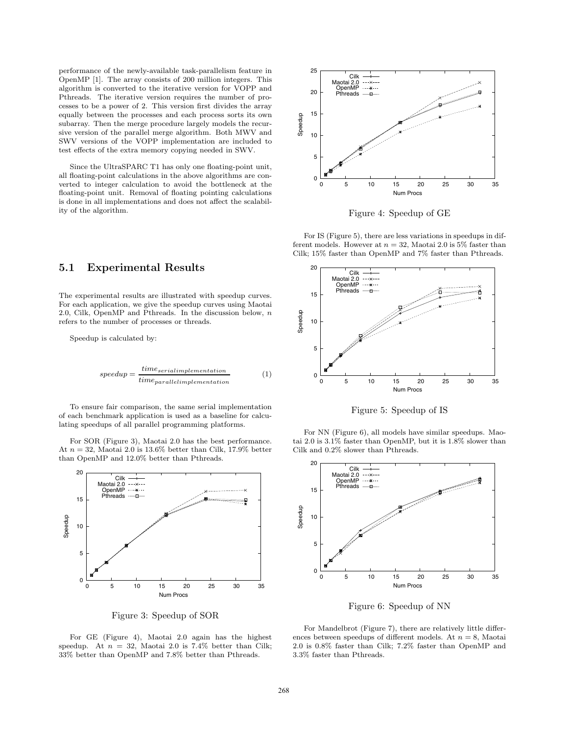performance of the newly-available task-parallelism feature in OpenMP [1]. The array consists of 200 million integers. This algorithm is converted to the iterative version for VOPP and Pthreads. The iterative version requires the number of processes to be a power of 2. This version first divides the array equally between the processes and each process sorts its own subarray. Then the merge procedure largely models the recursive version of the parallel merge algorithm. Both MWV and SWV versions of the VOPP implementation are included to test effects of the extra memory copying needed in SWV.

Since the UltraSPARC T1 has only one floating-point unit, all floating-point calculations in the above algorithms are converted to integer calculation to avoid the bottleneck at the floating-point unit. Removal of floating pointing calculations is done in all implementations and does not affect the scalability of the algorithm.

#### **5.1 Experimental Results**

The experimental results are illustrated with speedup curves. For each application, we give the speedup curves using Maotai 2.0, Cilk, OpenMP and Pthreads. In the discussion below, *n* refers to the number of processes or threads.

Speedup is calculated by:

$$
speedup = \frac{time_{serial implementation}}{time_{parallel implementation}} \tag{1}
$$

To ensure fair comparison, the same serial implementation of each benchmark application is used as a baseline for calculating speedups of all parallel programming platforms.

For SOR (Figure 3), Maotai 2.0 has the best performance. At *n* = 32, Maotai 2.0 is 13.6% better than Cilk, 17.9% better than OpenMP and 12.0% better than Pthreads.



Figure 3: Speedup of SOR

For GE (Figure 4), Maotai 2.0 again has the highest speedup. At  $n = 32$ , Maotai 2.0 is 7.4% better than Cilk; 33% better than OpenMP and 7.8% better than Pthreads.



Figure 4: Speedup of GE

For IS (Figure 5), there are less variations in speedups in different models. However at  $n = 32$ , Maotai 2.0 is 5% faster than Cilk; 15% faster than OpenMP and 7% faster than Pthreads.



Figure 5: Speedup of IS

For NN (Figure 6), all models have similar speedups. Maotai 2.0 is 3.1% faster than OpenMP, but it is 1.8% slower than Cilk and 0.2% slower than Pthreads.



Figure 6: Speedup of NN

For Mandelbrot (Figure 7), there are relatively little differences between speedups of different models. At  $n = 8$ , Maotai 2.0 is 0.8% faster than Cilk; 7.2% faster than OpenMP and 3.3% faster than Pthreads.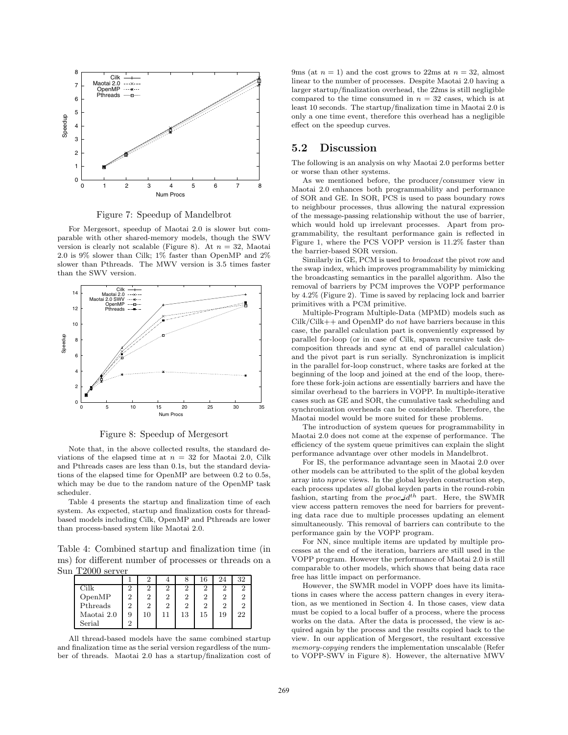

Figure 7: Speedup of Mandelbrot

For Mergesort, speedup of Maotai 2.0 is slower but comparable with other shared-memory models, though the SWV version is clearly not scalable (Figure 8). At *n* = 32, Maotai 2.0 is 9% slower than Cilk; 1% faster than OpenMP and 2% slower than Pthreads. The MWV version is 3.5 times faster than the SWV version.



Figure 8: Speedup of Mergesort

Note that, in the above collected results, the standard deviations of the elapsed time at  $n = 32$  for Maotai 2.0, Cilk and Pthreads cases are less than 0.1s, but the standard deviations of the elapsed time for OpenMP are between 0.2 to 0.5s, which may be due to the random nature of the OpenMP task scheduler.

Table 4 presents the startup and finalization time of each system. As expected, startup and finalization costs for threadbased models including Cilk, OpenMP and Pthreads are lower than process-based system like Maotai 2.0.

Table 4: Combined startup and finalization time (in ms) for different number of processes or threads on a Sun T2000 server

|            |   |    |    | 16 | 24 | 32 |
|------------|---|----|----|----|----|----|
| Cilk       |   |    |    |    |    |    |
| OpenMP     |   |    |    |    | ŋ  |    |
| Pthreads   |   |    |    | 2  | 2  |    |
| Maotai 2.0 | 9 | 10 | 13 | 15 | 19 | 22 |
| Serial     |   |    |    |    |    |    |

All thread-based models have the same combined startup and finalization time as the serial version regardless of the number of threads. Maotai 2.0 has a startup/finalization cost of

9ms (at  $n = 1$ ) and the cost grows to 22ms at  $n = 32$ , almost linear to the number of processes. Despite Maotai 2.0 having a larger startup/finalization overhead, the 22ms is still negligible compared to the time consumed in  $n = 32$  cases, which is at least 10 seconds. The startup/finalization time in Maotai 2.0 is only a one time event, therefore this overhead has a negligible effect on the speedup curves.

#### **5.2 Discussion**

The following is an analysis on why Maotai 2.0 performs better or worse than other systems.

As we mentioned before, the producer/consumer view in Maotai 2.0 enhances both programmability and performance of SOR and GE. In SOR, PCS is used to pass boundary rows to neighbour processes, thus allowing the natural expression of the message-passing relationship without the use of barrier, which would hold up irrelevant processes. Apart from programmability, the resultant performance gain is reflected in Figure 1, where the PCS VOPP version is 11.2% faster than the barrier-based SOR version.

Similarly in GE, PCM is used to *broadcast* the pivot row and the swap index, which improves programmability by mimicking the broadcasting semantics in the parallel algorithm. Also the removal of barriers by PCM improves the VOPP performance by 4.2% (Figure 2). Time is saved by replacing lock and barrier primitives with a PCM primitive.

Multiple-Program Multiple-Data (MPMD) models such as Cilk/Cilk++ and OpenMP do *not* have barriers because in this case, the parallel calculation part is conveniently expressed by parallel for-loop (or in case of Cilk, spawn recursive task decomposition threads and sync at end of parallel calculation) and the pivot part is run serially. Synchronization is implicit in the parallel for-loop construct, where tasks are forked at the beginning of the loop and joined at the end of the loop, therefore these fork-join actions are essentially barriers and have the similar overhead to the barriers in VOPP. In multiple-iterative cases such as GE and SOR, the cumulative task scheduling and synchronization overheads can be considerable. Therefore, the Maotai model would be more suited for these problems.

The introduction of system queues for programmability in Maotai 2.0 does not come at the expense of performance. The efficiency of the system queue primitives can explain the slight performance advantage over other models in Mandelbrot.

For IS, the performance advantage seen in Maotai 2.0 over other models can be attributed to the split of the global keyden array into *nproc* views. In the global keyden construction step, each process updates *all* global keyden parts in the round-robin fashion, starting from the *proc idth* part. Here, the SWMR view access pattern removes the need for barriers for preventing data race due to multiple processes updating an element simultaneously. This removal of barriers can contribute to the performance gain by the VOPP program.

For NN, since multiple items are updated by multiple processes at the end of the iteration, barriers are still used in the VOPP program. However the performance of Maotai 2.0 is still comparable to other models, which shows that being data race free has little impact on performance.

However, the SWMR model in VOPP does have its limitations in cases where the access pattern changes in every iteration, as we mentioned in Section 4. In those cases, view data must be copied to a local buffer of a process, where the process works on the data. After the data is processed, the view is acquired again by the process and the results copied back to the view. In our application of Mergesort, the resultant excessive *memory-copying* renders the implementation unscalable (Refer to VOPP-SWV in Figure 8). However, the alternative MWV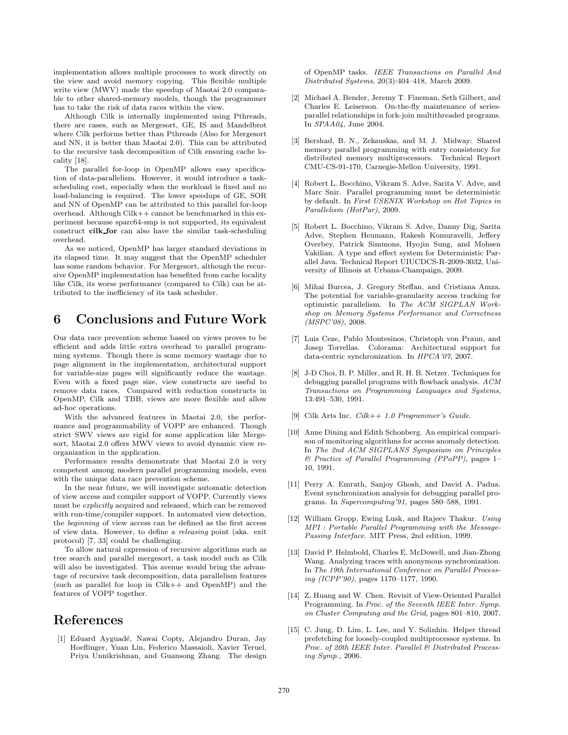implementation allows multiple processes to work directly on the view and avoid memory copying. This flexible multiple write view (MWV) made the speedup of Maotai 2.0 comparable to other shared-memory models, though the programmer has to take the risk of data races within the view.

Although Cilk is internally implemented using Pthreads, there are cases, such as Mergesort, GE, IS and Mandelbrot where Cilk performs better than Pthreads (Also for Mergesort and NN, it is better than Maotai 2.0). This can be attributed to the recursive task decomposition of Cilk ensuring cache locality [18].

The parallel for-loop in OpenMP allows easy specification of data-parallelism. However, it would introduce a taskscheduling cost, especially when the workload is fixed and no load-balancing is required. The lower speedups of GE, SOR and NN of OpenMP can be attributed to this parallel for-loop overhead. Although Cilk++ cannot be benchmarked in this experiment because sparc64-smp is not supported, its equivalent construct **cilk for** can also have the similar task-scheduling overhead.

As we noticed, OpenMP has larger standard deviations in its elapsed time. It may suggest that the OpenMP scheduler has some random behavior. For Mergesort, although the recursive OpenMP implementation has benefited from cache locality like Cilk, its worse performance (compared to Cilk) can be attributed to the inefficiency of its task scheduler.

### **6 Conclusions and Future Work**

Our data race prevention scheme based on views proves to be efficient and adds little extra overhead to parallel programming systems. Though there is some memory wastage due to page alignment in the implementation, architectural support for variable-size pages will significantly reduce the wastage. Even with a fixed page size, view constructs are useful to remove data races. Compared with reduction constructs in OpenMP, Cilk and TBB, views are more flexible and allow ad-hoc operations.

With the advanced features in Maotai 2.0, the performance and programmability of VOPP are enhanced. Though strict SWV views are rigid for some application like Mergesort, Maotai 2.0 offers MWV views to avoid dynamic view reorganization in the application.

Performance results demonstrate that Maotai 2.0 is very competent among modern parallel programming models, even with the unique data race prevention scheme.

In the near future, we will investigate automatic detection of view access and compiler support of VOPP. Currently views must be *explicitly* acquired and released, which can be removed with run-time/compiler support. In automated view detection, the *beginning* of view access can be defined as the first access of view data. However, to define a *releasing* point (aka. exit protocol) [7, 33] could be challenging.

To allow natural expression of recursive algorithms such as tree search and parallel mergesort, a task model such as Cilk will also be investigated. This avenue would bring the advantage of recursive task decomposition, data parallelism features (such as parallel for loop in Cilk++ and OpenMP) and the features of VOPP together.

### **References**

[1] Eduard Ayguadé, Nawai Copty, Alejandro Duran, Jay Hoeflinger, Yuan Lin, Federico Massaioli, Xavier Teruel, Priya Unnikrishnan, and Guansong Zhang. The design of OpenMP tasks. *IEEE Transactions on Parallel And Distributed Systems*, 20(3):404–418, March 2009.

- [2] Michael A. Bender, Jeremy T. Fineman, Seth Gilbert, and Charles E. Leiserson. On-the-fly maintenance of seriesparallel relationships in fork-join multithreaded programs. In *SPAA04*, June 2004.
- [3] Bershad, B. N., Zekauskas, and M. J. Midway: Shared memory parallel programming with entry consistency for distributed memory multiprocessors. Technical Report CMU-CS-91-170, Carnegie-Mellon University, 1991.
- [4] Robert L. Bocchino, Vikram S. Adve, Sarita V. Adve, and Marc Snir. Parallel programming must be deterministic by default. In *First USENIX Workshop on Hot Topics in Parallelism (HotPar)*, 2009.
- [5] Robert L. Bocchino, Vikram S. Adve, Danny Dig, Sarita Adve, Stephen Heumann, Rakesh Komuravelli, Jeffery Overbey, Patrick Simmons, Hyojin Sung, and Mohsen Vakilian. A type and effect system for Deterministic Parallel Java. Technical Report UIUCDCS-R-2009-3032, University of Illinois at Urbana-Champaign, 2009.
- [6] Mihai Burcea, J. Gregory Steffan, and Cristiana Amza. The potential for variable-granularity access tracking for optimistic parallelism. In *The ACM SIGPLAN Workshop on Memory Systems Performance and Correctness (MSPC'08)*, 2008.
- [7] Luis Ceze, Pablo Montesinos, Christoph von Praun, and Josep Torrellas. Colorama: Architectural support for data-centric synchronization. In *HPCA'07*, 2007.
- [8] J-D Choi, B. P. Miller, and R. H. B. Netzer. Techniques for debugging parallel programs with flowback analysis. *ACM Transactions on Programming Languages and Systems*, 13:491–530, 1991.
- [9] Cilk Arts Inc. *Cilk++ 1.0 Programmer's Guide*.
- [10] Anne Dining and Edith Schonberg. An empirical comparison of monitoring algorithms for access anomaly detection. In *The 2nd ACM SIGPLANS Symposium on Principles & Practice of Parallel Programming (PPoPP)*, pages 1– 10, 1991.
- [11] Perry A. Emrath, Sanjoy Ghosh, and David A. Padua. Event synchronization analysis for debugging parallel programs. In *Supercomputing'91*, pages 580–588, 1991.
- [12] William Gropp, Ewing Lusk, and Rajeev Thakur. *Using MPI : Portable Parallel Programming with the Message-Passing Interface*. MIT Press, 2nd edition, 1999.
- [13] David P. Helmbold, Charles E. McDowell, and Jian-Zhong Wang. Analyzing traces with anonymous synchronization. In *The 19th International Conference on Parallel Processing (ICPP'90)*, pages 1170–1177, 1990.
- [14] Z. Huang and W. Chen. Revisit of View-Oriented Parallel Programming. In *Proc. of the Seventh IEEE Inter. Symp. on Cluster Computing and the Grid*, pages 801–810, 2007.
- [15] C. Jung, D. Lim, L. Lee, and Y. Solinhin. Helper thread prefetching for loosely-coupled multiprocessor systems. In *Proc. of 20th IEEE Inter. Parallel & Distributed Processing Symp.*, 2006.